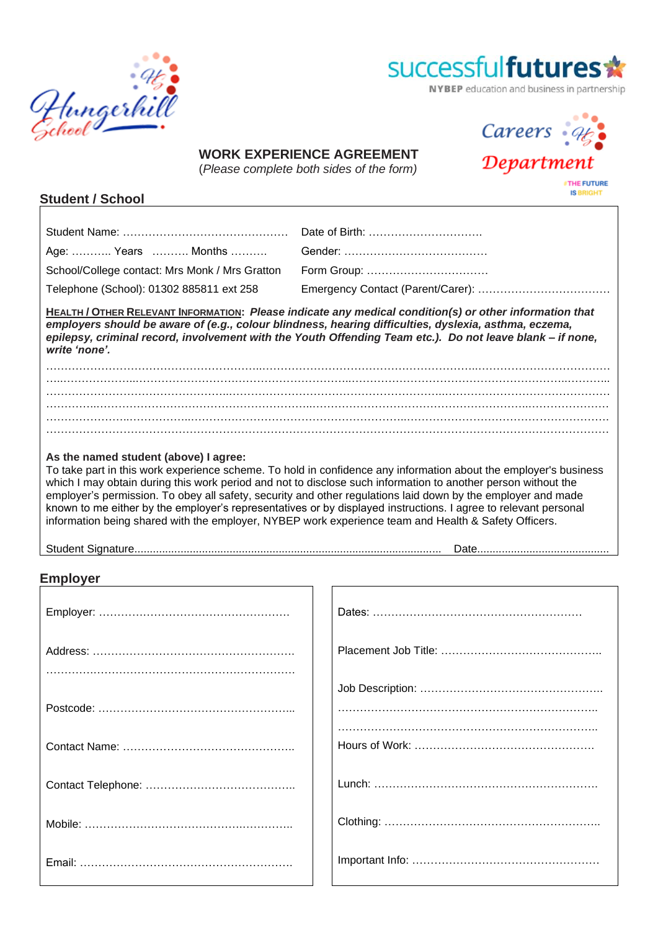



NYBEP education and business in partnership

Careers :

Department

# **WORK EXPERIENCE AGREEMENT**

(*Please complete both sides of the form)*

**THE FUTURE IS BRIGHT** 

. . .

### **Student / School**

|                                                | Date of Birth:                                                                                                                                                                                                                                                                                                                                                                                                                                                                                                                                                               |
|------------------------------------------------|------------------------------------------------------------------------------------------------------------------------------------------------------------------------------------------------------------------------------------------------------------------------------------------------------------------------------------------------------------------------------------------------------------------------------------------------------------------------------------------------------------------------------------------------------------------------------|
| Age:  Years  Months                            |                                                                                                                                                                                                                                                                                                                                                                                                                                                                                                                                                                              |
| School/College contact: Mrs Monk / Mrs Gratton | Form Group:                                                                                                                                                                                                                                                                                                                                                                                                                                                                                                                                                                  |
| Telephone (School): 01302 885811 ext 258       |                                                                                                                                                                                                                                                                                                                                                                                                                                                                                                                                                                              |
| write 'none'.                                  | HEALTH / OTHER RELEVANT INFORMATION: Please indicate any medical condition(s) or other information that<br>employers should be aware of (e.g., colour blindness, hearing difficulties, dyslexia, asthma, eczema,<br>epilepsy, criminal record, involvement with the Youth Offending Team etc.). Do not leave blank – if none,                                                                                                                                                                                                                                                |
|                                                |                                                                                                                                                                                                                                                                                                                                                                                                                                                                                                                                                                              |
|                                                |                                                                                                                                                                                                                                                                                                                                                                                                                                                                                                                                                                              |
|                                                |                                                                                                                                                                                                                                                                                                                                                                                                                                                                                                                                                                              |
|                                                |                                                                                                                                                                                                                                                                                                                                                                                                                                                                                                                                                                              |
|                                                |                                                                                                                                                                                                                                                                                                                                                                                                                                                                                                                                                                              |
|                                                |                                                                                                                                                                                                                                                                                                                                                                                                                                                                                                                                                                              |
| As the named student (above) I agree:          | To take part in this work experience scheme. To hold in confidence any information about the employer's business<br>which I may obtain during this work period and not to disclose such information to another person without the<br>employer's permission. To obey all safety, security and other regulations laid down by the employer and made<br>known to me either by the employer's representatives or by displayed instructions. I agree to relevant personal<br>information being shared with the employer, NYBEP work experience team and Health & Safety Officers. |

| Student Signature. |
|--------------------|
|--------------------|

Student Signature.................................................................................................... Date...........................................

## **Employer**